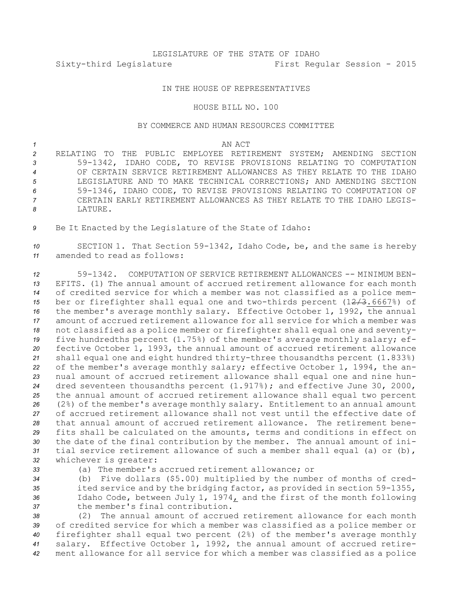## LEGISLATURE OF THE STATE OF IDAHO Sixty-third Legislature First Regular Session - 2015

## IN THE HOUSE OF REPRESENTATIVES

## HOUSE BILL NO. 100

## BY COMMERCE AND HUMAN RESOURCES COMMITTEE

*1* AN ACT

 RELATING TO THE PUBLIC EMPLOYEE RETIREMENT SYSTEM; AMENDING SECTION 59-1342, IDAHO CODE, TO REVISE PROVISIONS RELATING TO COMPUTATION OF CERTAIN SERVICE RETIREMENT ALLOWANCES AS THEY RELATE TO THE IDAHO LEGISLATURE AND TO MAKE TECHNICAL CORRECTIONS; AND AMENDING SECTION 59-1346, IDAHO CODE, TO REVISE PROVISIONS RELATING TO COMPUTATION OF CERTAIN EARLY RETIREMENT ALLOWANCES AS THEY RELATE TO THE IDAHO LEGIS-*8* LATURE.

*<sup>9</sup>* Be It Enacted by the Legislature of the State of Idaho:

*<sup>10</sup>* SECTION 1. That Section 59-1342, Idaho Code, be, and the same is hereby *11* amended to read as follows:

 59-1342. COMPUTATION OF SERVICE RETIREMENT ALLOWANCES -- MINIMUM BEN- EFITS. (1) The annual amount of accrued retirement allowance for each month of credited service for which <sup>a</sup> member was not classified as <sup>a</sup> police mem- ber or firefighter shall equal one and two-thirds percent (12/3.6667%) of the member's average monthly salary. Effective October 1, 1992, the annual amount of accrued retirement allowance for all service for which <sup>a</sup> member was not classified as <sup>a</sup> police member or firefighter shall equal one and seventy- five hundredths percent (1.75%) of the member's average monthly salary; ef- fective October 1, 1993, the annual amount of accrued retirement allowance shall equal one and eight hundred thirty-three thousandths percent (1.833%) of the member's average monthly salary; effective October 1, 1994, the an- nual amount of accrued retirement allowance shall equal one and nine hun- dred seventeen thousandths percent (1.917%); and effective June 30, 2000, the annual amount of accrued retirement allowance shall equal two percent (2%) of the member's average monthly salary. Entitlement to an annual amount of accrued retirement allowance shall not vest until the effective date of that annual amount of accrued retirement allowance. The retirement bene- fits shall be calculated on the amounts, terms and conditions in effect on the date of the final contribution by the member. The annual amount of ini- tial service retirement allowance of such <sup>a</sup> member shall equal (a) or (b), whichever is greater:

*33* (a) The member's accrued retirement allowance; or

 (b) Five dollars (\$5.00) multiplied by the number of months of cred- ited service and by the bridging factor, as provided in section 59-1355, Idaho Code, between July 1, 1974, and the first of the month following the member's final contribution.

 (2) The annual amount of accrued retirement allowance for each month of credited service for which <sup>a</sup> member was classified as <sup>a</sup> police member or firefighter shall equal two percent (2%) of the member's average monthly salary. Effective October 1, 1992, the annual amount of accrued retire-ment allowance for all service for which <sup>a</sup> member was classified as <sup>a</sup> police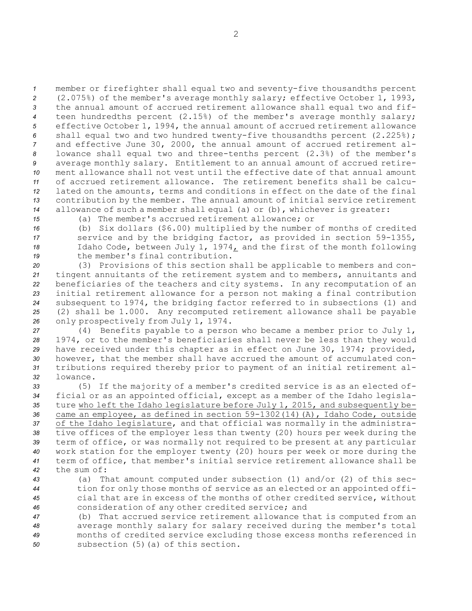member or firefighter shall equal two and seventy-five thousandths percent (2.075%) of the member's average monthly salary; effective October 1, 1993, the annual amount of accrued retirement allowance shall equal two and fif- teen hundredths percent (2.15%) of the member's average monthly salary; effective October 1, 1994, the annual amount of accrued retirement allowance shall equal two and two hundred twenty-five thousandths percent (2.225%); and effective June 30, 2000, the annual amount of accrued retirement al- lowance shall equal two and three-tenths percent (2.3%) of the member's average monthly salary. Entitlement to an annual amount of accrued retire- ment allowance shall not vest until the effective date of that annual amount of accrued retirement allowance. The retirement benefits shall be calcu- lated on the amounts, terms and conditions in effect on the date of the final contribution by the member. The annual amount of initial service retirement allowance of such <sup>a</sup> member shall equal (a) or (b), whichever is greater:

*15* (a) The member's accrued retirement allowance; or

 (b) Six dollars (\$6.00) multiplied by the number of months of credited service and by the bridging factor, as provided in section 59-1355, Idaho Code, between July 1, 1974, and the first of the month following the member's final contribution.

 (3) Provisions of this section shall be applicable to members and con- tingent annuitants of the retirement system and to members, annuitants and beneficiaries of the teachers and city systems. In any recomputation of an initial retirement allowance for <sup>a</sup> person not making <sup>a</sup> final contribution subsequent to 1974, the bridging factor referred to in subsections (1) and (2) shall be 1.000. Any recomputed retirement allowance shall be payable only prospectively from July 1, 1974.

 (4) Benefits payable to <sup>a</sup> person who became <sup>a</sup> member prior to July 1, 1974, or to the member's beneficiaries shall never be less than they would have received under this chapter as in effect on June 30, 1974; provided, however, that the member shall have accrued the amount of accumulated con- tributions required thereby prior to payment of an initial retirement al-*32* lowance.

 (5) If the majority of <sup>a</sup> member's credited service is as an elected of- ficial or as an appointed official, except as <sup>a</sup> member of the Idaho legisla- ture who left the Idaho legislature before July 1, 2015, and subsequently be- came an employee, as defined in section 59-1302(14)(A), Idaho Code, outside of the Idaho legislature, and that official was normally in the administra- tive offices of the employer less than twenty (20) hours per week during the term of office, or was normally not required to be present at any particular work station for the employer twenty (20) hours per week or more during the term of office, that member's initial service retirement allowance shall be the sum of:

 (a) That amount computed under subsection (1) and/or (2) of this sec- tion for only those months of service as an elected or an appointed offi- cial that are in excess of the months of other credited service, without consideration of any other credited service; and

 (b) That accrued service retirement allowance that is computed from an average monthly salary for salary received during the member's total months of credited service excluding those excess months referenced in subsection (5)(a) of this section.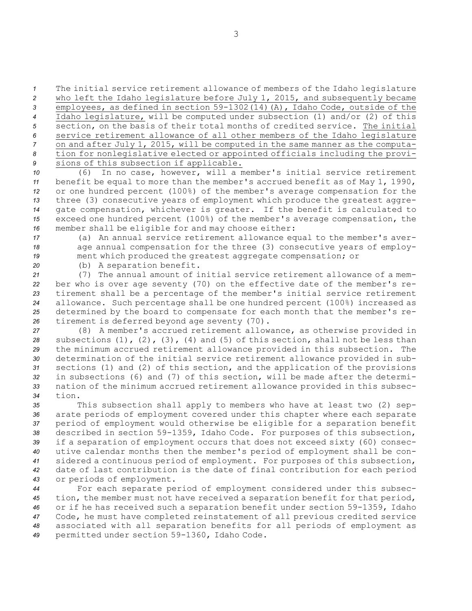The initial service retirement allowance of members of the Idaho legislature who left the Idaho legislature before July 1, 2015, and subsequently became employees, as defined in section 59-1302(14)(A), Idaho Code, outside of the Idaho legislature, will be computed under subsection (1) and/or (2) of this section, on the basis of their total months of credited service. The initial service retirement allowance of all other members of the Idaho legislature on and after July 1, 2015, will be computed in the same manner as the computa- tion for nonlegislative elected or appointed officials including the provi-sions of this subsection if applicable.

 (6) In no case, however, will <sup>a</sup> member's initial service retirement benefit be equal to more than the member's accrued benefit as of May 1, 1990, or one hundred percent (100%) of the member's average compensation for the 13 three (3) consecutive years of employment which produce the greatest aggre- gate compensation, whichever is greater. If the benefit is calculated to exceed one hundred percent (100%) of the member's average compensation, the member shall be eligible for and may choose either:

*<sup>17</sup>* (a) An annual service retirement allowance equal to the member's aver-*<sup>18</sup>* age annual compensation for the three (3) consecutive years of employ-*<sup>19</sup>* ment which produced the greatest aggregate compensation; or

*<sup>20</sup>* (b) <sup>A</sup> separation benefit.

 (7) The annual amount of initial service retirement allowance of <sup>a</sup> mem- ber who is over age seventy (70) on the effective date of the member's re- tirement shall be <sup>a</sup> percentage of the member's initial service retirement allowance. Such percentage shall be one hundred percent (100%) increased as determined by the board to compensate for each month that the member's re-tirement is deferred beyond age seventy (70).

 (8) <sup>A</sup> member's accrued retirement allowance, as otherwise provided in subsections (1), (2), (3), (4) and (5) of this section, shall not be less than the minimum accrued retirement allowance provided in this subsection. The determination of the initial service retirement allowance provided in sub- sections (1) and (2) of this section, and the application of the provisions in subsections (6) and (7) of this section, will be made after the determi- nation of the minimum accrued retirement allowance provided in this subsec-*34* tion.

 This subsection shall apply to members who have at least two (2) sep- arate periods of employment covered under this chapter where each separate period of employment would otherwise be eligible for <sup>a</sup> separation benefit described in section 59-1359, Idaho Code. For purposes of this subsection, if <sup>a</sup> separation of employment occurs that does not exceed sixty (60) consec- utive calendar months then the member's period of employment shall be con- sidered <sup>a</sup> continuous period of employment. For purposes of this subsection, date of last contribution is the date of final contribution for each period or periods of employment.

 For each separate period of employment considered under this subsec- tion, the member must not have received <sup>a</sup> separation benefit for that period, or if he has received such <sup>a</sup> separation benefit under section 59-1359, Idaho Code, he must have completed reinstatement of all previous credited service associated with all separation benefits for all periods of employment as permitted under section 59-1360, Idaho Code.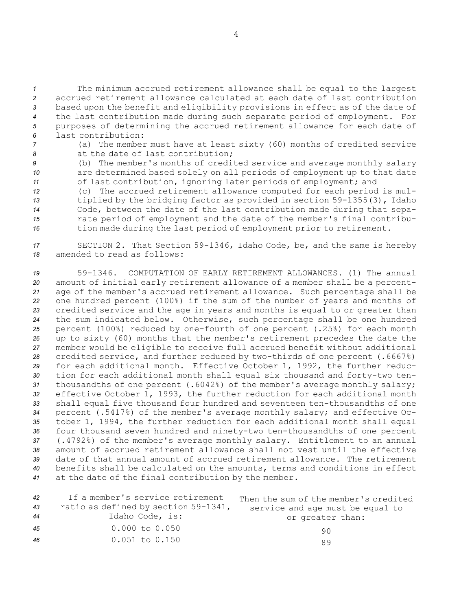The minimum accrued retirement allowance shall be equal to the largest accrued retirement allowance calculated at each date of last contribution based upon the benefit and eligibility provisions in effect as of the date of the last contribution made during such separate period of employment. For purposes of determining the accrued retirement allowance for each date of last contribution:

- *<sup>7</sup>* (a) The member must have at least sixty (60) months of credited service *8* at the date of last contribution;
- *<sup>9</sup>* (b) The member's months of credited service and average monthly salary *<sup>10</sup>* are determined based solely on all periods of employment up to that date *<sup>11</sup>* of last contribution, ignoring later periods of employment; and
- *<sup>12</sup>* (c) The accrued retirement allowance computed for each period is mul-*<sup>13</sup>* tiplied by the bridging factor as provided in section 59-1355(3), Idaho *<sup>14</sup>* Code, between the date of the last contribution made during that sepa-*<sup>15</sup>* rate period of employment and the date of the member's final contribu-16 tion made during the last period of employment prior to retirement.
- *<sup>17</sup>* SECTION 2. That Section 59-1346, Idaho Code, be, and the same is hereby *18* amended to read as follows:

 59-1346. COMPUTATION OF EARLY RETIREMENT ALLOWANCES. (1) The annual amount of initial early retirement allowance of <sup>a</sup> member shall be <sup>a</sup> percent- age of the member's accrued retirement allowance. Such percentage shall be one hundred percent (100%) if the sum of the number of years and months of credited service and the age in years and months is equal to or greater than the sum indicated below. Otherwise, such percentage shall be one hundred percent (100%) reduced by one-fourth of one percent (.25%) for each month up to sixty (60) months that the member's retirement precedes the date the member would be eligible to receive full accrued benefit without additional credited service, and further reduced by two-thirds of one percent (.6667%) for each additional month. Effective October 1, 1992, the further reduc- tion for each additional month shall equal six thousand and forty-two ten- thousandths of one percent (.6042%) of the member's average monthly salary; effective October 1, 1993, the further reduction for each additional month shall equal five thousand four hundred and seventeen ten-thousandths of one percent (.5417%) of the member's average monthly salary; and effective Oc- tober 1, 1994, the further reduction for each additional month shall equal four thousand seven hundred and ninety-two ten-thousandths of one percent (.4792%) of the member's average monthly salary. Entitlement to an annual amount of accrued retirement allowance shall not vest until the effective date of that annual amount of accrued retirement allowance. The retirement benefits shall be calculated on the amounts, terms and conditions in effect at the date of the final contribution by the member.

| 42 | If a member's service retirement     | Then the sum of the member's credited |
|----|--------------------------------------|---------------------------------------|
| 43 | ratio as defined by section 59-1341, | service and age must be equal to      |
| 44 | Idaho Code, is:                      | or greater than:                      |
| 45 | $0.000$ to $0.050$                   | 90                                    |
| 46 | $0.051$ to $0.150$                   | R 9                                   |